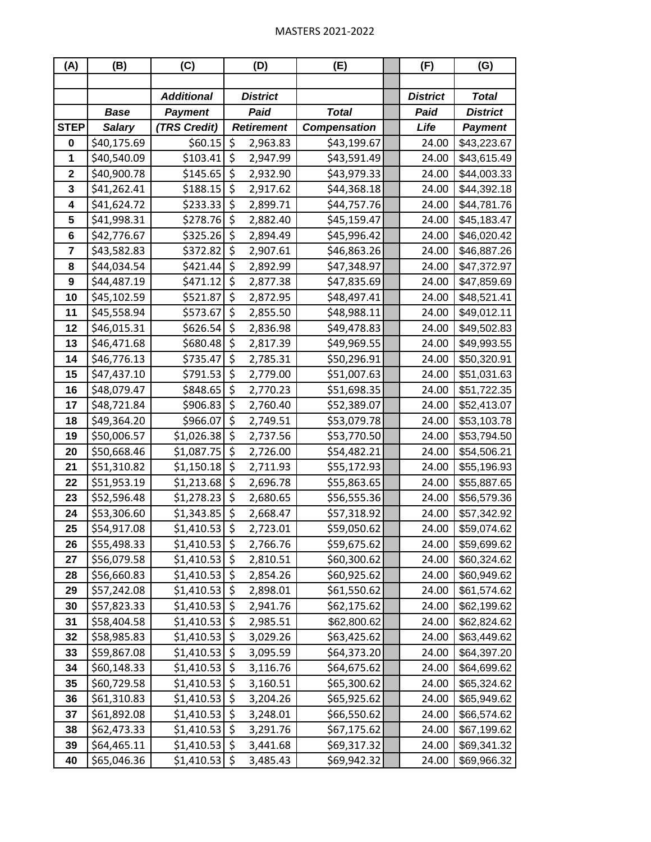| (A)         | (B)           | (C)               |               | (D)               | (E)                 | (F)             | (G)             |
|-------------|---------------|-------------------|---------------|-------------------|---------------------|-----------------|-----------------|
|             |               |                   |               |                   |                     |                 |                 |
|             |               | <b>Additional</b> |               | <b>District</b>   |                     | <b>District</b> | <b>Total</b>    |
|             | <b>Base</b>   | <b>Payment</b>    |               | Paid              | <b>Total</b>        | Paid            | <b>District</b> |
| <b>STEP</b> | <b>Salary</b> | (TRS Credit)      |               | <b>Retirement</b> | <b>Compensation</b> | Life            | <b>Payment</b>  |
| 0           | \$40,175.69   | \$60.15           | \$            | 2,963.83          | \$43,199.67         | 24.00           | \$43,223.67     |
| 1           | \$40,540.09   | \$103.41          | \$            | 2,947.99          | \$43,591.49         | 24.00           | \$43,615.49     |
| $\mathbf 2$ | \$40,900.78   | \$145.65          | \$            | 2,932.90          | \$43,979.33         | 24.00           | \$44,003.33     |
| 3           | \$41,262.41   | \$188.15          | \$            | 2,917.62          | \$44,368.18         | 24.00           | \$44,392.18     |
| 4           | \$41,624.72   | \$233.33          | \$            | 2,899.71          | \$44,757.76         | 24.00           | \$44,781.76     |
| 5           | \$41,998.31   | \$278.76          | \$            | 2,882.40          | \$45,159.47         | 24.00           | \$45,183.47     |
| 6           | \$42,776.67   | \$325.26          | \$            | 2,894.49          | \$45,996.42         | 24.00           | \$46,020.42     |
| 7           | \$43,582.83   | \$372.82          | \$            | 2,907.61          | \$46,863.26         | 24.00           | \$46,887.26     |
| 8           | \$44,034.54   | \$421.44          | \$            | 2,892.99          | \$47,348.97         | 24.00           | \$47,372.97     |
| 9           | \$44,487.19   | \$471.12          | $\ddot{\phi}$ | 2,877.38          | \$47,835.69         | 24.00           | \$47,859.69     |
| 10          | \$45,102.59   | \$521.87          | \$            | 2,872.95          | \$48,497.41         | 24.00           | \$48,521.41     |
| 11          | \$45,558.94   | \$573.67          | \$            | 2,855.50          | \$48,988.11         | 24.00           | \$49,012.11     |
| 12          | \$46,015.31   | \$626.54]         | \$            | 2,836.98          | \$49,478.83         | 24.00           | \$49,502.83     |
| 13          | \$46,471.68   | \$680.48          | \$            | 2,817.39          | \$49,969.55         | 24.00           | \$49,993.55     |
| 14          | \$46,776.13   | \$735.47          | \$            | 2,785.31          | \$50,296.91         | 24.00           | \$50,320.91     |
| 15          | \$47,437.10   | \$791.53          | \$            | 2,779.00          | \$51,007.63         | 24.00           | \$51,031.63     |
| 16          | \$48,079.47   | \$848.65          | \$            | 2,770.23          | \$51,698.35         | 24.00           | \$51,722.35     |
| 17          | \$48,721.84   | \$906.83          | \$            | 2,760.40          | \$52,389.07         | 24.00           | \$52,413.07     |
| 18          | \$49,364.20   | \$966.07          | \$            | 2,749.51          | \$53,079.78         | 24.00           | \$53,103.78     |
| 19          | \$50,006.57   | \$1,026.38        | \$            | 2,737.56          | \$53,770.50         | 24.00           | \$53,794.50     |
| 20          | \$50,668.46   | \$1,087.75        | \$            | 2,726.00          | \$54,482.21         | 24.00           | \$54,506.21     |
| 21          | \$51,310.82   | $$1,150.18$ \$    |               | 2,711.93          | \$55,172.93         | 24.00           | \$55,196.93     |
| 22          | \$51,953.19   | \$1,213.68        | \$            | 2,696.78          | \$55,863.65         | 24.00           | \$55,887.65     |
| 23          | \$52,596.48   | \$1,278.23        | $\zeta$       | 2,680.65          | \$56,555.36         | 24.00           | \$56,579.36     |
| 24          | \$53,306.60   | $$1,343.85$ \$    |               | 2,668.47          | \$57,318.92         | 24.00           | \$57,342.92     |
| 25          | \$54,917.08   | $$1,410.53$ \$    |               | 2,723.01          | \$59,050.62         | 24.00           | \$59,074.62     |
| 26          | \$55,498.33   | $$1,410.53$ \$    |               | 2,766.76          | \$59,675.62         | 24.00           | \$59,699.62     |
| 27          | \$56,079.58   | \$1,410.53        | \$            | 2,810.51          | \$60,300.62         | 24.00           | \$60,324.62     |
| 28          | \$56,660.83   | $$1,410.53$ \$    |               | 2,854.26          | \$60,925.62         | 24.00           | \$60,949.62     |
| 29          | \$57,242.08   | \$1,410.53        | \$            | 2,898.01          | \$61,550.62         | 24.00           | \$61,574.62     |
| 30          | \$57,823.33   | $$1,410.53$ \$    |               | 2,941.76          | \$62,175.62         | 24.00           | \$62,199.62     |
| 31          | \$58,404.58   | \$1,410.53        | \$            | 2,985.51          | \$62,800.62         | 24.00           | \$62,824.62     |
| 32          | \$58,985.83   | $$1,410.53$ \$    |               | 3,029.26          | \$63,425.62         | 24.00           | \$63,449.62     |
| 33          | \$59,867.08   | $$1,410.53$ \$    |               | 3,095.59          | \$64,373.20         | 24.00           | \$64,397.20     |
| 34          | \$60,148.33   | \$1,410.53        | \$            | 3,116.76          | \$64,675.62         | 24.00           | \$64,699.62     |
| 35          | \$60,729.58   | $$1,410.53$ \$    |               | 3,160.51          | \$65,300.62         | 24.00           | \$65,324.62     |
| 36          | \$61,310.83   | $$1,410.53$ \$    |               | 3,204.26          | \$65,925.62         | 24.00           | \$65,949.62     |
| 37          | \$61,892.08   | \$1,410.53        | \$            | 3,248.01          | \$66,550.62         | 24.00           | \$66,574.62     |
| 38          | \$62,473.33   | $$1,410.53$ \$    |               | 3,291.76          | \$67,175.62         | 24.00           | \$67,199.62     |
| 39          | \$64,465.11   | $$1,410.53$ \$    |               | 3,441.68          | \$69,317.32         | 24.00           | \$69,341.32     |
| 40          | \$65,046.36   | \$1,410.53        | \$            | 3,485.43          | \$69,942.32         | 24.00           | \$69,966.32     |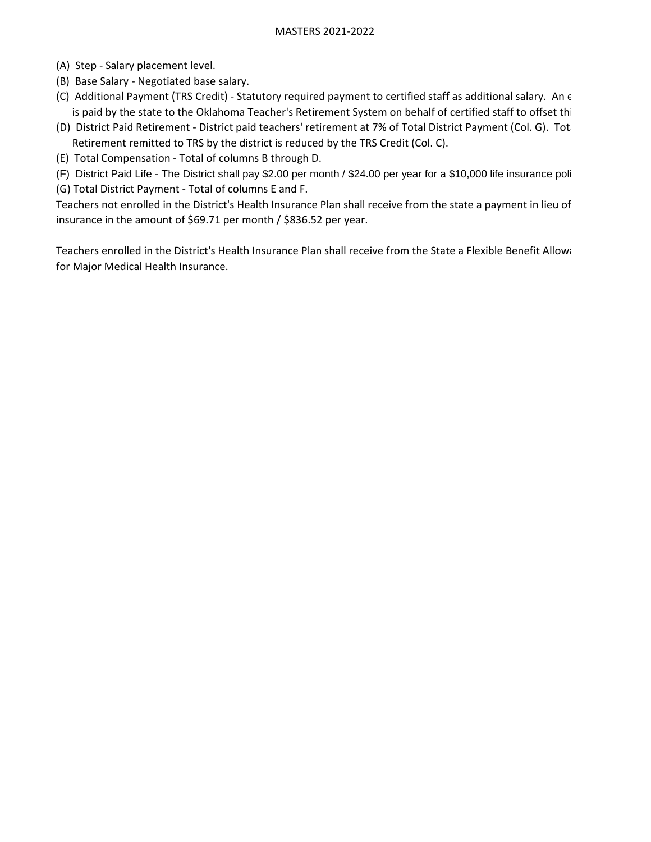- (A) Step Salary placement level.
- (B) Base Salary Negotiated base salary.
- (C) Additional Payment (TRS Credit) Statutory required payment to certified staff as additional salary. An e is paid by the state to the Oklahoma Teacher's Retirement System on behalf of certified staff to offset thi
- (D) District Paid Retirement District paid teachers' retirement at 7% of Total District Payment (Col. G). Total Retirement remitted to TRS by the district is reduced by the TRS Credit (Col. C).
- (E) Total Compensation Total of columns B through D.

(F) District Paid Life - The District shall pay \$2.00 per month / \$24.00 per year for a \$10,000 life insurance poli

(G) Total District Payment - Total of columns E and F.

Teachers not enrolled in the District's Health Insurance Plan shall receive from the state a payment in lieu of insurance in the amount of \$69.71 per month / \$836.52 per year.

Teachers enrolled in the District's Health Insurance Plan shall receive from the State a Flexible Benefit Allowa for Major Medical Health Insurance.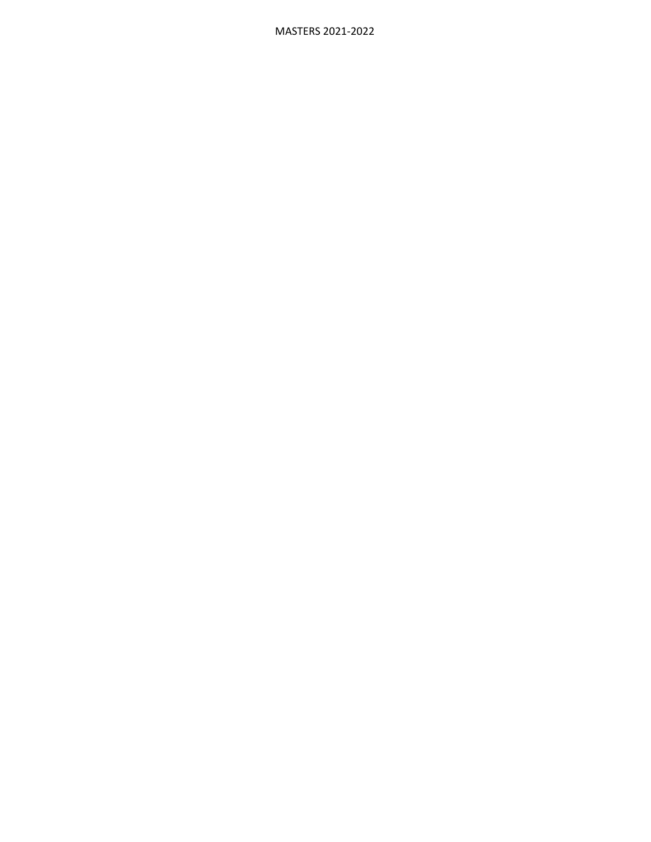## MASTERS 2021-2022